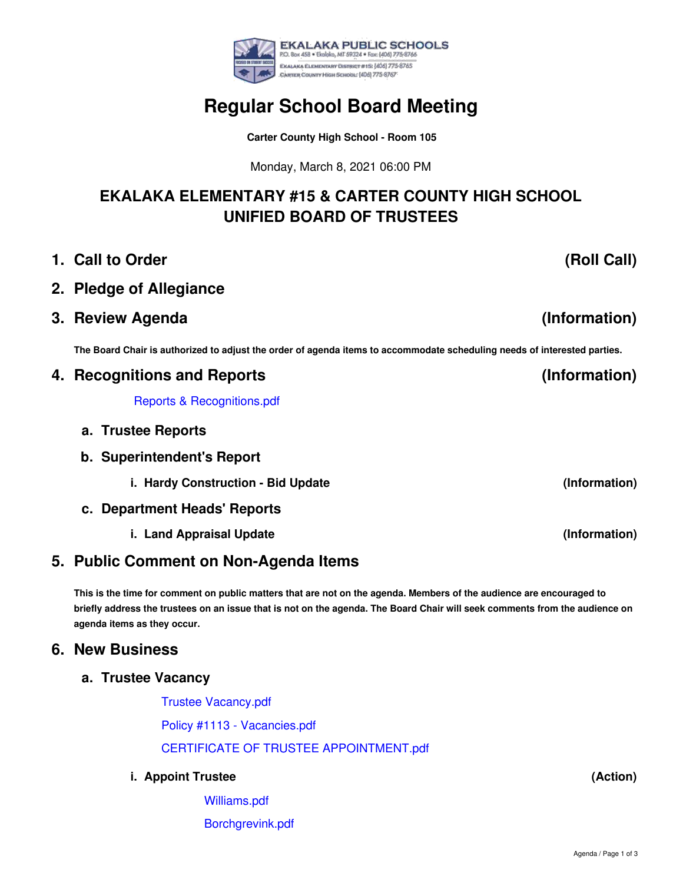

## **(Information) (Information) 2. Pledge of Allegiance 3. Review Agenda** The Board Chair is authorized to adjust the order of agenda items to accommodate scheduling needs of interested parties. **4. Recognitions and Reports** Reports & [Recognitions.pdf](https://app.eduportal.com/documents/view/786099)

**a. Trustee Reports**

**1. Call to Order**

**b. Superintendent's Report**

**i. Hardy Construction - Bid Update**

- **c. Department Heads' Reports**
	- **i. Land Appraisal Update**

# **5. Public Comment on Non-Agenda Items**

This is the time for comment on public matters that are not on the agenda. Members of the audience are encouraged to briefly address the trustees on an issue that is not on the agenda. The Board Chair will seek comments from the audience on **agenda items as they occur.**

### **6. New Business**

#### **a. Trustee Vacancy**

Trustee [Vacancy.pdf](https://app.eduportal.com/documents/view/786100) Policy #1113 - [Vacancies.pdf](https://app.eduportal.com/documents/view/785758) CERTIFICATE OF TRUSTEE [APPOINTMENT.pdf](https://app.eduportal.com/documents/view/785764)

#### **i. Appoint Trustee**

[Williams.pdf](https://app.eduportal.com/documents/view/785759) [Borchgrevink.pdf](https://app.eduportal.com/documents/view/785760)

**(Roll Call)**

**(Information)**

**(Information)**

**(Action)**



# **Regular School Board Meeting**

**Carter County High School - Room 105**

Monday, March 8, 2021 06:00 PM

**EKALAKA ELEMENTARY #15 & CARTER COUNTY HIGH SCHOOL UNIFIED BOARD OF TRUSTEES**